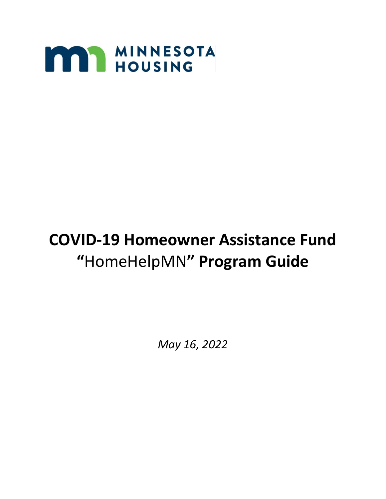

# **COVID-19 Homeowner Assistance Fund "**HomeHelpMN**" Program Guide**

*May 16, 2022*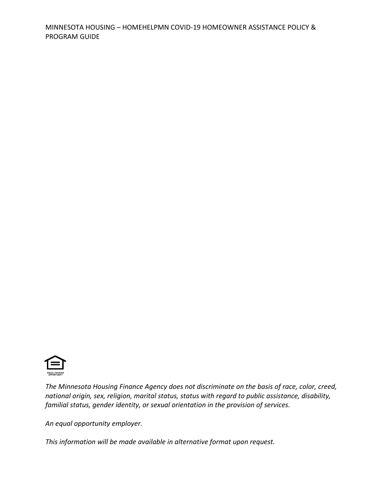

*The Minnesota Housing Finance Agency does not discriminate on the basis of race, color, creed, national origin, sex, religion, marital status, status with regard to public assistance, disability, familial status, gender identity, or sexual orientation in the provision of services.*

*An equal opportunity employer.*

*This information will be made available in alternative format upon request.*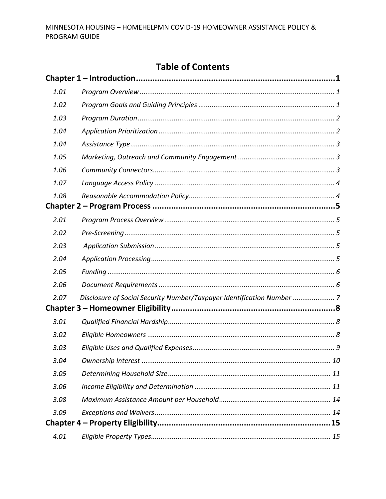# **Table of Contents**

| 1.01 |                                                                        |  |
|------|------------------------------------------------------------------------|--|
| 1.02 |                                                                        |  |
| 1.03 |                                                                        |  |
| 1.04 |                                                                        |  |
| 1.04 |                                                                        |  |
| 1.05 |                                                                        |  |
| 1.06 |                                                                        |  |
| 1.07 |                                                                        |  |
| 1.08 |                                                                        |  |
|      |                                                                        |  |
| 2.01 |                                                                        |  |
| 2.02 |                                                                        |  |
| 2.03 |                                                                        |  |
| 2.04 |                                                                        |  |
| 2.05 |                                                                        |  |
| 2.06 |                                                                        |  |
| 2.07 | Disclosure of Social Security Number/Taxpayer Identification Number  7 |  |
|      |                                                                        |  |
| 3.01 |                                                                        |  |
| 3.02 |                                                                        |  |
| 3.03 |                                                                        |  |
| 3.04 |                                                                        |  |
| 3.05 |                                                                        |  |
| 3.06 |                                                                        |  |
| 3.08 |                                                                        |  |
| 3.09 |                                                                        |  |
|      |                                                                        |  |
| 4.01 |                                                                        |  |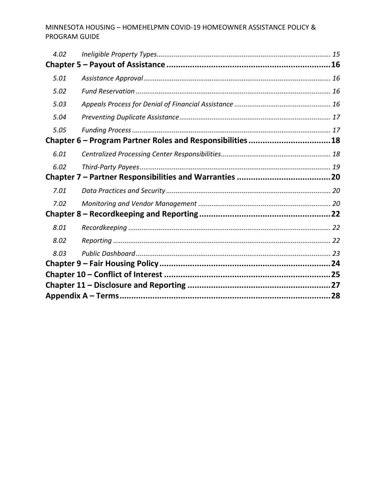| 4.02                                                      |  |  |
|-----------------------------------------------------------|--|--|
|                                                           |  |  |
| 5.01                                                      |  |  |
| 5.02                                                      |  |  |
| 5.03                                                      |  |  |
| 5.04                                                      |  |  |
| 5.05                                                      |  |  |
| Chapter 6 - Program Partner Roles and Responsibilities 18 |  |  |
| 6.01                                                      |  |  |
| 6.02                                                      |  |  |
|                                                           |  |  |
| 7.01                                                      |  |  |
| 7.02                                                      |  |  |
|                                                           |  |  |
| 8.01                                                      |  |  |
| 8.02                                                      |  |  |
| 8.03                                                      |  |  |
|                                                           |  |  |
|                                                           |  |  |
|                                                           |  |  |
|                                                           |  |  |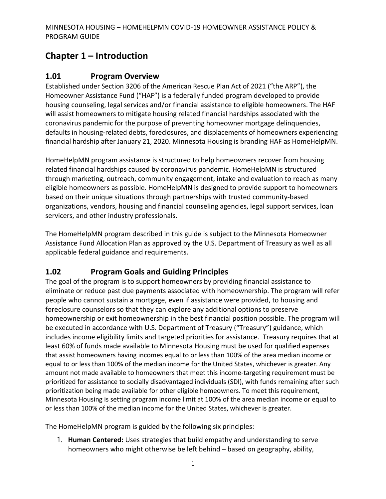# <span id="page-4-0"></span>**Chapter 1 – Introduction**

## <span id="page-4-1"></span>**1.01 Program Overview**

Established under Section 3206 of the American Rescue Plan Act of 2021 ("the ARP"), the Homeowner Assistance Fund ("HAF") is a federally funded program developed to provide housing counseling, legal services and/or financial assistance to eligible homeowners. The HAF will assist homeowners to mitigate housing related financial hardships associated with the coronavirus pandemic for the purpose of preventing homeowner mortgage delinquencies, defaults in housing-related debts, foreclosures, and displacements of homeowners experiencing financial hardship after January 21, 2020. Minnesota Housing is branding HAF as HomeHelpMN.

HomeHelpMN program assistance is structured to help homeowners recover from housing related financial hardships caused by coronavirus pandemic. HomeHelpMN is structured through marketing, outreach, community engagement, intake and evaluation to reach as many eligible homeowners as possible. HomeHelpMN is designed to provide support to homeowners based on their unique situations through partnerships with trusted community-based organizations, vendors, housing and financial counseling agencies, legal support services, loan servicers, and other industry professionals.

The HomeHelpMN program described in this guide is subject to the Minnesota Homeowner Assistance Fund Allocation Plan as approved by the U.S. Department of Treasury as well as all applicable federal guidance and requirements.

# <span id="page-4-2"></span>**1.02 Program Goals and Guiding Principles**

The goal of the program is to support homeowners by providing financial assistance to eliminate or reduce past due payments associated with homeownership. The program will refer people who cannot sustain a mortgage, even if assistance were provided, to housing and foreclosure counselors so that they can explore any additional options to preserve homeownership or exit homeownership in the best financial position possible. The program will be executed in accordance with U.S. Department of Treasury ("Treasury") guidance, which includes income eligibility limits and targeted priorities for assistance. Treasury requires that at least 60% of funds made available to Minnesota Housing must be used for qualified expenses that assist homeowners having incomes equal to or less than 100% of the area median income or equal to or less than 100% of the median income for the United States, whichever is greater. Any amount not made available to homeowners that meet this income-targeting requirement must be prioritized for assistance to socially disadvantaged individuals (SDI), with funds remaining after such prioritization being made available for other eligible homeowners. To meet this requirement, Minnesota Housing is setting program income limit at 100% of the area median income or equal to or less than 100% of the median income for the United States, whichever is greater.

The HomeHelpMN program is guided by the following six principles:

1. **Human Centered:** Uses strategies that build empathy and understanding to serve homeowners who might otherwise be left behind – based on geography, ability,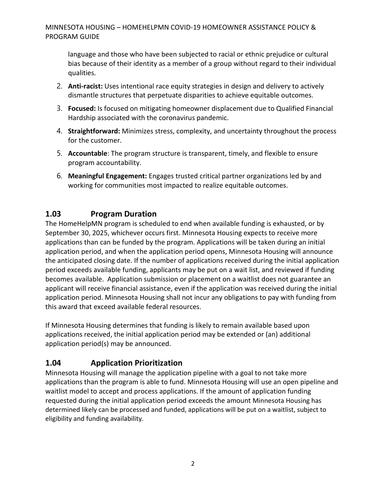language and those who have been subjected to racial or ethnic prejudice or cultural bias because of their identity as a member of a group without regard to their individual qualities.

- 2. **Anti-racist:** Uses intentional race equity strategies in design and delivery to actively dismantle structures that perpetuate disparities to achieve equitable outcomes.
- 3. **Focused:** Is focused on mitigating homeowner displacement due to Qualified Financial Hardship associated with the coronavirus pandemic.
- 4. **Straightforward:** Minimizes stress, complexity, and uncertainty throughout the process for the customer.
- 5. **Accountable**: The program structure is transparent, timely, and flexible to ensure program accountability.
- 6. **Meaningful Engagement:** Engages trusted critical partner organizations led by and working for communities most impacted to realize equitable outcomes.

## <span id="page-5-0"></span>**1.03 Program Duration**

The HomeHelpMN program is scheduled to end when available funding is exhausted, or by September 30, 2025, whichever occurs first. Minnesota Housing expects to receive more applications than can be funded by the program. Applications will be taken during an initial application period, and when the application period opens, Minnesota Housing will announce the anticipated closing date. If the number of applications received during the initial application period exceeds available funding, applicants may be put on a wait list, and reviewed if funding becomes available. Application submission or placement on a waitlist does not guarantee an applicant will receive financial assistance, even if the application was received during the initial application period. Minnesota Housing shall not incur any obligations to pay with funding from this award that exceed available federal resources.

If Minnesota Housing determines that funding is likely to remain available based upon applications received, the initial application period may be extended or (an) additional application period(s) may be announced.

# <span id="page-5-1"></span>**1.04 Application Prioritization**

Minnesota Housing will manage the application pipeline with a goal to not take more applications than the program is able to fund. Minnesota Housing will use an open pipeline and waitlist model to accept and process applications. If the amount of application funding requested during the initial application period exceeds the amount Minnesota Housing has determined likely can be processed and funded, applications will be put on a waitlist, subject to eligibility and funding availability.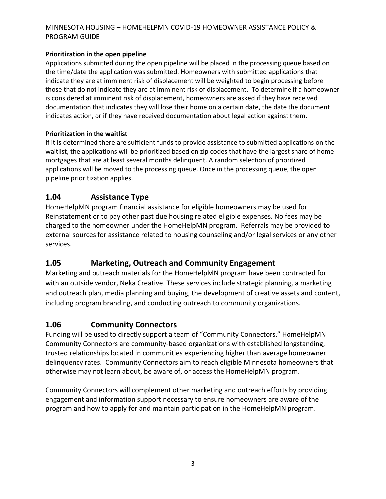#### **Prioritization in the open pipeline**

Applications submitted during the open pipeline will be placed in the processing queue based on the time/date the application was submitted. Homeowners with submitted applications that indicate they are at imminent risk of displacement will be weighted to begin processing before those that do not indicate they are at imminent risk of displacement. To determine if a homeowner is considered at imminent risk of displacement, homeowners are asked if they have received documentation that indicates they will lose their home on a certain date, the date the document indicates action, or if they have received documentation about legal action against them.

#### **Prioritization in the waitlist**

If it is determined there are sufficient funds to provide assistance to submitted applications on the waitlist, the applications will be prioritized based on zip codes that have the largest share of home mortgages that are at least several months delinquent. A random selection of prioritized applications will be moved to the processing queue. Once in the processing queue, the open pipeline prioritization applies.

## <span id="page-6-0"></span>**1.04 Assistance Type**

HomeHelpMN program financial assistance for eligible homeowners may be used for Reinstatement or to pay other past due housing related eligible expenses. No fees may be charged to the homeowner under the HomeHelpMN program. Referrals may be provided to external sources for assistance related to housing counseling and/or legal services or any other services.

## <span id="page-6-1"></span>**1.05 Marketing, Outreach and Community Engagement**

Marketing and outreach materials for the HomeHelpMN program have been contracted for with an outside vendor, Neka Creative. These services include strategic planning, a marketing and outreach plan, media planning and buying, the development of creative assets and content, including program branding, and conducting outreach to community organizations.

#### <span id="page-6-2"></span>**1.06 Community Connectors**

Funding will be used to directly support a team of "Community Connectors." HomeHelpMN Community Connectors are community-based organizations with established longstanding, trusted relationships located in communities experiencing higher than average homeowner delinquency rates. Community Connectors aim to reach eligible Minnesota homeowners that otherwise may not learn about, be aware of, or access the HomeHelpMN program.

Community Connectors will complement other marketing and outreach efforts by providing engagement and information support necessary to ensure homeowners are aware of the program and how to apply for and maintain participation in the HomeHelpMN program.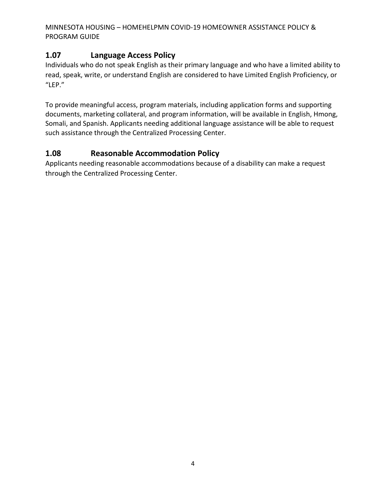# <span id="page-7-0"></span>**1.07 Language Access Policy**

Individuals who do not speak English as their primary language and who have a limited ability to read, speak, write, or understand English are considered to have Limited English Proficiency, or "LEP."

To provide meaningful access, program materials, including application forms and supporting documents, marketing collateral, and program information, will be available in English, Hmong, Somali, and Spanish. Applicants needing additional language assistance will be able to request such assistance through the Centralized Processing Center.

# <span id="page-7-1"></span>**1.08 Reasonable Accommodation Policy**

Applicants needing reasonable accommodations because of a disability can make a request through the Centralized Processing Center.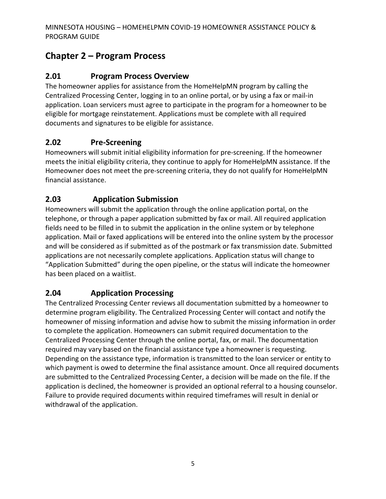# <span id="page-8-0"></span>**Chapter 2 – Program Process**

# <span id="page-8-1"></span>**2.01 Program Process Overview**

The homeowner applies for assistance from the HomeHelpMN program by calling the Centralized Processing Center, logging in to an online portal, or by using a fax or mail-in application. Loan servicers must agree to participate in the program for a homeowner to be eligible for mortgage reinstatement. Applications must be complete with all required documents and signatures to be eligible for assistance.

# <span id="page-8-2"></span>**2.02 Pre-Screening**

Homeowners will submit initial eligibility information for pre-screening. If the homeowner meets the initial eligibility criteria, they continue to apply for HomeHelpMN assistance. If the Homeowner does not meet the pre-screening criteria, they do not qualify for HomeHelpMN financial assistance.

## <span id="page-8-3"></span>**2.03 Application Submission**

Homeowners will submit the application through the online application portal, on the telephone, or through a paper application submitted by fax or mail. All required application fields need to be filled in to submit the application in the online system or by telephone application. Mail or faxed applications will be entered into the online system by the processor and will be considered as if submitted as of the postmark or fax transmission date. Submitted applications are not necessarily complete applications. Application status will change to "Application Submitted" during the open pipeline, or the status will indicate the homeowner has been placed on a waitlist.

## <span id="page-8-4"></span>**2.04 Application Processing**

The Centralized Processing Center reviews all documentation submitted by a homeowner to determine program eligibility. The Centralized Processing Center will contact and notify the homeowner of missing information and advise how to submit the missing information in order to complete the application. Homeowners can submit required documentation to the Centralized Processing Center through the online portal, fax, or mail. The documentation required may vary based on the financial assistance type a homeowner is requesting. Depending on the assistance type, information is transmitted to the loan servicer or entity to which payment is owed to determine the final assistance amount. Once all required documents are submitted to the Centralized Processing Center, a decision will be made on the file. If the application is declined, the homeowner is provided an optional referral to a housing counselor. Failure to provide required documents within required timeframes will result in denial or withdrawal of the application.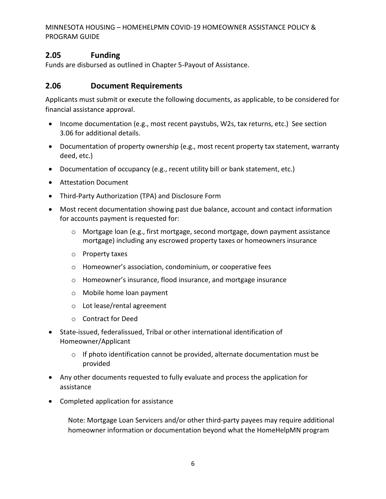## <span id="page-9-0"></span>**2.05 Funding**

Funds are disbursed as outlined in Chapter 5-Payout of Assistance.

## <span id="page-9-1"></span>**2.06 Document Requirements**

Applicants must submit or execute the following documents, as applicable, to be considered for financial assistance approval.

- Income documentation (e.g., most recent paystubs, W2s, tax returns, etc.) See section 3.06 for additional details.
- Documentation of property ownership (e.g., most recent property tax statement, warranty deed, etc.)
- Documentation of occupancy (e.g., recent utility bill or bank statement, etc.)
- Attestation Document
- Third-Party Authorization (TPA) and Disclosure Form
- Most recent documentation showing past due balance, account and contact information for accounts payment is requested for:
	- o Mortgage loan (e.g., first mortgage, second mortgage, down payment assistance mortgage) including any escrowed property taxes or homeowners insurance
	- o Property taxes
	- o Homeowner's association, condominium, or cooperative fees
	- o Homeowner's insurance, flood insurance, and mortgage insurance
	- o Mobile home loan payment
	- o Lot lease/rental agreement
	- o Contract for Deed
- State-issued, federalissued, Tribal or other international identification of Homeowner/Applicant
	- $\circ$  If photo identification cannot be provided, alternate documentation must be provided
- Any other documents requested to fully evaluate and process the application for assistance
- Completed application for assistance

Note: Mortgage Loan Servicers and/or other third-party payees may require additional homeowner information or documentation beyond what the HomeHelpMN program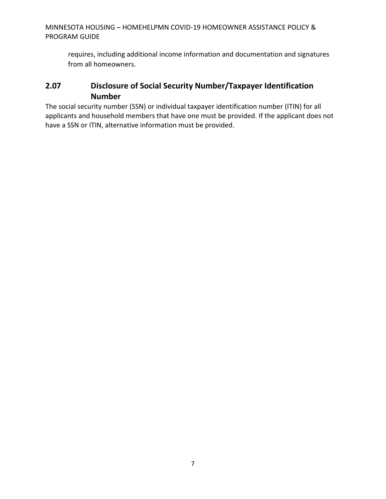requires, including additional income information and documentation and signatures from all homeowners.

# <span id="page-10-0"></span>**2.07 Disclosure of Social Security Number/Taxpayer Identification Number**

The social security number (SSN) or individual taxpayer identification number (ITIN) for all applicants and household members that have one must be provided. If the applicant does not have a SSN or ITIN, alternative information must be provided.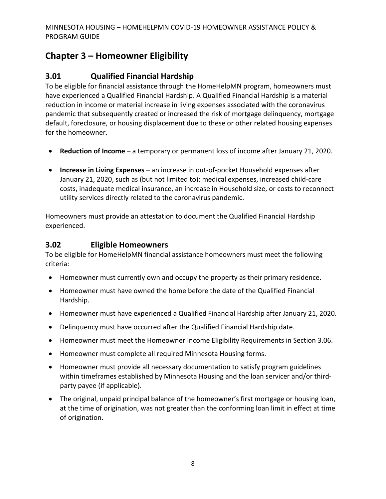# <span id="page-11-0"></span>**Chapter 3 – Homeowner Eligibility**

# <span id="page-11-1"></span>**3.01 Qualified Financial Hardship**

To be eligible for financial assistance through the HomeHelpMN program, homeowners must have experienced a Qualified Financial Hardship. A Qualified Financial Hardship is a material reduction in income or material increase in living expenses associated with the coronavirus pandemic that subsequently created or increased the risk of mortgage delinquency, mortgage default, foreclosure, or housing displacement due to these or other related housing expenses for the homeowner.

- **Reduction of Income** a temporary or permanent loss of income after January 21, 2020.
- **Increase in Living Expenses**  an increase in out-of-pocket Household expenses after January 21, 2020, such as (but not limited to): medical expenses, increased child-care costs, inadequate medical insurance, an increase in Household size, or costs to reconnect utility services directly related to the coronavirus pandemic.

Homeowners must provide an attestation to document the Qualified Financial Hardship experienced.

## <span id="page-11-2"></span>**3.02 Eligible Homeowners**

To be eligible for HomeHelpMN financial assistance homeowners must meet the following criteria:

- Homeowner must currently own and occupy the property as their primary residence.
- Homeowner must have owned the home before the date of the Qualified Financial Hardship.
- Homeowner must have experienced a Qualified Financial Hardship after January 21, 2020.
- Delinquency must have occurred after the Qualified Financial Hardship date.
- Homeowner must meet the Homeowner Income Eligibility Requirements in Section 3.06.
- Homeowner must complete all required Minnesota Housing forms.
- Homeowner must provide all necessary documentation to satisfy program guidelines within timeframes established by Minnesota Housing and the loan servicer and/or thirdparty payee (if applicable).
- The original, unpaid principal balance of the homeowner's first mortgage or housing loan, at the time of origination, was not greater than the conforming loan limit in effect at time of origination.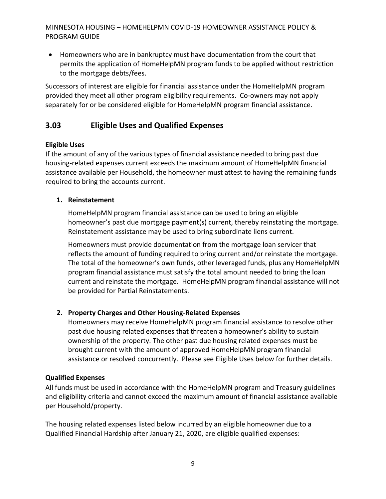• Homeowners who are in bankruptcy must have documentation from the court that permits the application of HomeHelpMN program funds to be applied without restriction to the mortgage debts/fees.

Successors of interest are eligible for financial assistance under the HomeHelpMN program provided they meet all other program eligibility requirements. Co-owners may not apply separately for or be considered eligible for HomeHelpMN program financial assistance.

# <span id="page-12-0"></span>**3.03 Eligible Uses and Qualified Expenses**

#### **Eligible Uses**

If the amount of any of the various types of financial assistance needed to bring past due housing-related expenses current exceeds the maximum amount of HomeHelpMN financial assistance available per Household, the homeowner must attest to having the remaining funds required to bring the accounts current.

#### **1. Reinstatement**

HomeHelpMN program financial assistance can be used to bring an eligible homeowner's past due mortgage payment(s) current, thereby reinstating the mortgage. Reinstatement assistance may be used to bring subordinate liens current.

Homeowners must provide documentation from the mortgage loan servicer that reflects the amount of funding required to bring current and/or reinstate the mortgage. The total of the homeowner's own funds, other leveraged funds, plus any HomeHelpMN program financial assistance must satisfy the total amount needed to bring the loan current and reinstate the mortgage. HomeHelpMN program financial assistance will not be provided for Partial Reinstatements.

#### **2. Property Charges and Other Housing-Related Expenses**

Homeowners may receive HomeHelpMN program financial assistance to resolve other past due housing related expenses that threaten a homeowner's ability to sustain ownership of the property. The other past due housing related expenses must be brought current with the amount of approved HomeHelpMN program financial assistance or resolved concurrently. Please see Eligible Uses below for further details.

#### **Qualified Expenses**

All funds must be used in accordance with the HomeHelpMN program and Treasury guidelines and eligibility criteria and cannot exceed the maximum amount of financial assistance available per Household/property.

The housing related expenses listed below incurred by an eligible homeowner due to a Qualified Financial Hardship after January 21, 2020, are eligible qualified expenses: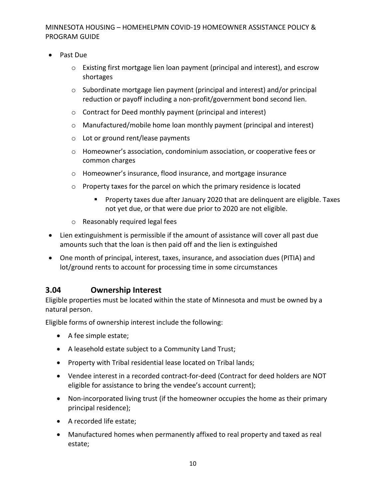- Past Due
	- $\circ$  Existing first mortgage lien loan payment (principal and interest), and escrow shortages
	- o Subordinate mortgage lien payment (principal and interest) and/or principal reduction or payoff including a non-profit/government bond second lien.
	- o Contract for Deed monthly payment (principal and interest)
	- o Manufactured/mobile home loan monthly payment (principal and interest)
	- o Lot or ground rent/lease payments
	- o Homeowner's association, condominium association, or cooperative fees or common charges
	- o Homeowner's insurance, flood insurance, and mortgage insurance
	- o Property taxes for the parcel on which the primary residence is located
		- Property taxes due after January 2020 that are delinquent are eligible. Taxes not yet due, or that were due prior to 2020 are not eligible.
	- o Reasonably required legal fees
- Lien extinguishment is permissible if the amount of assistance will cover all past due amounts such that the loan is then paid off and the lien is extinguished
- One month of principal, interest, taxes, insurance, and association dues (PITIA) and lot/ground rents to account for processing time in some circumstances

#### <span id="page-13-0"></span>**3.04 Ownership Interest**

Eligible properties must be located within the state of Minnesota and must be owned by a natural person.

Eligible forms of ownership interest include the following:

- A fee simple estate;
- A leasehold estate subject to a Community Land Trust;
- Property with Tribal residential lease located on Tribal lands;
- Vendee interest in a recorded contract-for-deed (Contract for deed holders are NOT eligible for assistance to bring the vendee's account current);
- Non-incorporated living trust (if the homeowner occupies the home as their primary principal residence);
- A recorded life estate;
- Manufactured homes when permanently affixed to real property and taxed as real estate;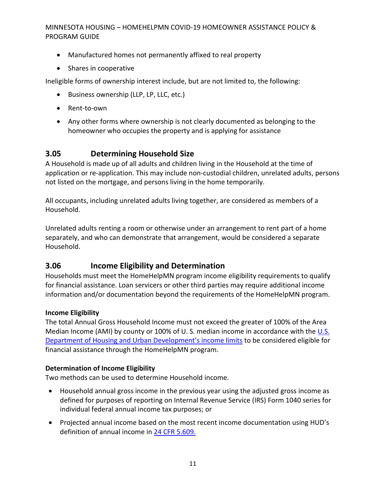- Manufactured homes not permanently affixed to real property
- Shares in cooperative

Ineligible forms of ownership interest include, but are not limited to, the following:

- Business ownership (LLP, LP, LLC, etc.)
- Rent-to-own
- Any other forms where ownership is not clearly documented as belonging to the homeowner who occupies the property and is applying for assistance

# <span id="page-14-0"></span>**3.05 Determining Household Size**

A Household is made up of all adults and children living in the Household at the time of application or re-application. This may include non-custodial children, unrelated adults, persons not listed on the mortgage, and persons living in the home temporarily.

All occupants, including unrelated adults living together, are considered as members of a Household.

Unrelated adults renting a room or otherwise under an arrangement to rent part of a home separately, and who can demonstrate that arrangement, would be considered a separate Household.

## <span id="page-14-1"></span>**3.06 Income Eligibility and Determination**

Households must meet the HomeHelpMN program income eligibility requirements to qualify for financial assistance. Loan servicers or other third parties may require additional income information and/or documentation beyond the requirements of the HomeHelpMN program.

#### **Income Eligibility**

The total Annual Gross Household Income must not exceed the greater of 100% of the Area Median Income (AMI) by county or 100% of [U.S.](https://www.huduser.gov/portal/datasets/il/il2022/select_Geography_haf.odn) median income in accordance with the U.S. [Department of Housing and Urban Development's income limits](https://www.huduser.gov/portal/datasets/il/il2022/select_Geography_haf.odn) to be considered eligible for financial assistance through the HomeHelpMN program.

#### **Determination of Income Eligibility**

Two methods can be used to determine Household income.

- Household annual gross income in the previous year using the adjusted gross income as defined for purposes of reporting on Internal Revenue Service (IRS) Form 1040 series for individual federal annual income tax purposes; or
- Projected annual income based on the most recent income documentation using HUD's definition of annual income in [24 CFR 5.609.](https://www.ecfr.gov/current/title-24/subtitle-A/part-5/subpart-F/subject-group-ECFR174c6349abd095d/section-5.609)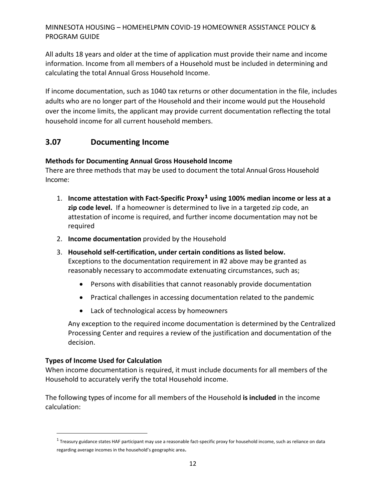All adults 18 years and older at the time of application must provide their name and income information. Income from all members of a Household must be included in determining and calculating the total Annual Gross Household Income.

If income documentation, such as 1040 tax returns or other documentation in the file, includes adults who are no longer part of the Household and their income would put the Household over the income limits, the applicant may provide current documentation reflecting the total household income for all current household members.

## **3.07 Documenting Income**

#### **Methods for Documenting Annual Gross Household Income**

There are three methods that may be used to document the total Annual Gross Household Income:

- 1. **Income attestation with Fact-Specific Proxy[1](#page-15-0) using 100% median income or less at a zip code level.** If a homeowner is determined to live in a targeted zip code, an attestation of income is required, and further income documentation may not be required
- 2. **Income documentation** provided by the Household
- 3. **Household self-certification, under certain conditions as listed below.**  Exceptions to the documentation requirement in #2 above may be granted as reasonably necessary to accommodate extenuating circumstances, such as;
	- Persons with disabilities that cannot reasonably provide documentation
	- Practical challenges in accessing documentation related to the pandemic
	- Lack of technological access by homeowners

Any exception to the required income documentation is determined by the Centralized Processing Center and requires a review of the justification and documentation of the decision.

#### **Types of Income Used for Calculation**

When income documentation is required, it must include documents for all members of the Household to accurately verify the total Household income.

The following types of income for all members of the Household **is included** in the income calculation:

<span id="page-15-0"></span> $1$ Treasury guidance states HAF participant may use a reasonable fact-specific proxy for household income, such as reliance on data regarding average incomes in the household's geographic area.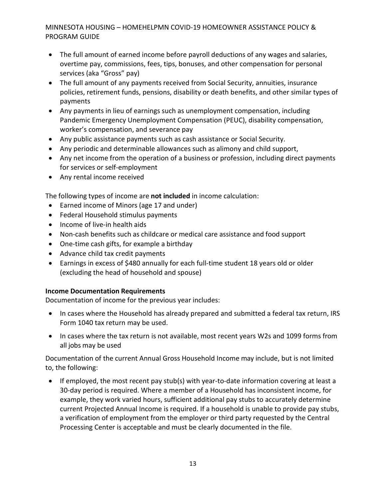- The full amount of earned income before payroll deductions of any wages and salaries, overtime pay, commissions, fees, tips, bonuses, and other compensation for personal services (aka "Gross" pay)
- The full amount of any payments received from Social Security, annuities, insurance policies, retirement funds, pensions, disability or death benefits, and other similar types of payments
- Any payments in lieu of earnings such as unemployment compensation, including Pandemic Emergency Unemployment Compensation (PEUC), disability compensation, worker's compensation, and severance pay
- Any public assistance payments such as cash assistance or Social Security.
- Any periodic and determinable allowances such as alimony and child support,
- Any net income from the operation of a business or profession, including direct payments for services or self-employment
- Any rental income received

The following types of income are **not included** in income calculation:

- Earned income of Minors (age 17 and under)
- Federal Household stimulus payments
- Income of live-in health aids
- Non-cash benefits such as childcare or medical care assistance and food support
- One-time cash gifts, for example a birthday
- Advance child tax credit payments
- Earnings in excess of \$480 annually for each full-time student 18 years old or older (excluding the head of household and spouse)

#### **Income Documentation Requirements**

Documentation of income for the previous year includes:

- In cases where the Household has already prepared and submitted a federal tax return, IRS Form 1040 tax return may be used.
- In cases where the tax return is not available, most recent years W2s and 1099 forms from all jobs may be used

Documentation of the current Annual Gross Household Income may include, but is not limited to, the following:

• If employed, the most recent pay stub(s) with year-to-date information covering at least a 30-day period is required. Where a member of a Household has inconsistent income, for example, they work varied hours, sufficient additional pay stubs to accurately determine current Projected Annual Income is required. If a household is unable to provide pay stubs, a verification of employment from the employer or third party requested by the Central Processing Center is acceptable and must be clearly documented in the file.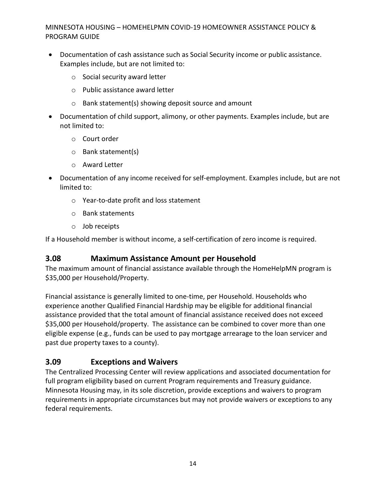- Documentation of cash assistance such as Social Security income or public assistance. Examples include, but are not limited to:
	- o Social security award letter
	- o Public assistance award letter
	- o Bank statement(s) showing deposit source and amount
- Documentation of child support, alimony, or other payments. Examples include, but are not limited to:
	- o Court order
	- o Bank statement(s)
	- o Award Letter
- Documentation of any income received for self-employment. Examples include, but are not limited to:
	- o Year-to-date profit and loss statement
	- o Bank statements
	- o Job receipts

If a Household member is without income, a self-certification of zero income is required.

## <span id="page-17-0"></span>**3.08 Maximum Assistance Amount per Household**

The maximum amount of financial assistance available through the HomeHelpMN program is \$35,000 per Household/Property.

Financial assistance is generally limited to one-time, per Household. Households who experience another Qualified Financial Hardship may be eligible for additional financial assistance provided that the total amount of financial assistance received does not exceed \$35,000 per Household/property. The assistance can be combined to cover more than one eligible expense (e.g., funds can be used to pay mortgage arrearage to the loan servicer and past due property taxes to a county).

## <span id="page-17-1"></span>**3.09 Exceptions and Waivers**

The Centralized Processing Center will review applications and associated documentation for full program eligibility based on current Program requirements and Treasury guidance. Minnesota Housing may, in its sole discretion, provide exceptions and waivers to program requirements in appropriate circumstances but may not provide waivers or exceptions to any federal requirements.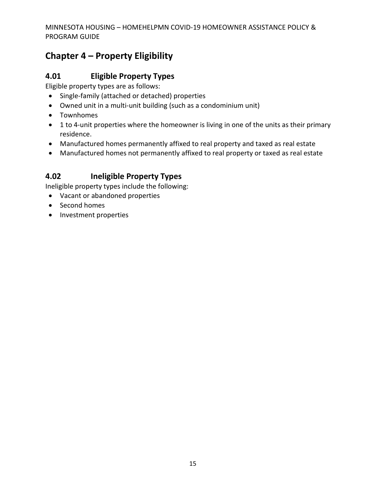# <span id="page-18-0"></span>**Chapter 4 – Property Eligibility**

## <span id="page-18-1"></span>**4.01 Eligible Property Types**

Eligible property types are as follows:

- Single-family (attached or detached) properties
- Owned unit in a multi-unit building (such as a condominium unit)
- Townhomes
- 1 to 4-unit properties where the homeowner is living in one of the units as their primary residence.
- Manufactured homes permanently affixed to real property and taxed as real estate
- Manufactured homes not permanently affixed to real property or taxed as real estate

# <span id="page-18-2"></span>**4.02 Ineligible Property Types**

Ineligible property types include the following:

- Vacant or abandoned properties
- Second homes
- Investment properties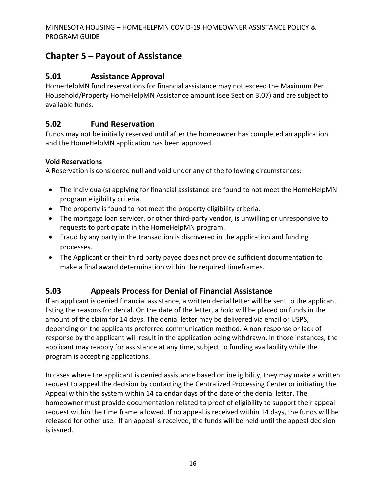# <span id="page-19-0"></span>**Chapter 5 – Payout of Assistance**

# <span id="page-19-1"></span>**5.01 Assistance Approval**

HomeHelpMN fund reservations for financial assistance may not exceed the Maximum Per Household/Property HomeHelpMN Assistance amount (see Section 3.07) and are subject to available funds.

# <span id="page-19-2"></span>**5.02 Fund Reservation**

Funds may not be initially reserved until after the homeowner has completed an application and the HomeHelpMN application has been approved.

#### **Void Reservations**

A Reservation is considered null and void under any of the following circumstances:

- The individual(s) applying for financial assistance are found to not meet the HomeHelpMN program eligibility criteria.
- The property is found to not meet the property eligibility criteria.
- The mortgage loan servicer, or other third-party vendor, is unwilling or unresponsive to requests to participate in the HomeHelpMN program.
- Fraud by any party in the transaction is discovered in the application and funding processes.
- The Applicant or their third party payee does not provide sufficient documentation to make a final award determination within the required timeframes.

# <span id="page-19-3"></span>**5.03 Appeals Process for Denial of Financial Assistance**

If an applicant is denied financial assistance, a written denial letter will be sent to the applicant listing the reasons for denial. On the date of the letter, a hold will be placed on funds in the amount of the claim for 14 days. The denial letter may be delivered via email or USPS, depending on the applicants preferred communication method. A non-response or lack of response by the applicant will result in the application being withdrawn. In those instances, the applicant may reapply for assistance at any time, subject to funding availability while the program is accepting applications.

In cases where the applicant is denied assistance based on ineligibility, they may make a written request to appeal the decision by contacting the Centralized Processing Center or initiating the Appeal within the system within 14 calendar days of the date of the denial letter. The homeowner must provide documentation related to proof of eligibility to support their appeal request within the time frame allowed. If no appeal is received within 14 days, the funds will be released for other use. If an appeal is received, the funds will be held until the appeal decision is issued.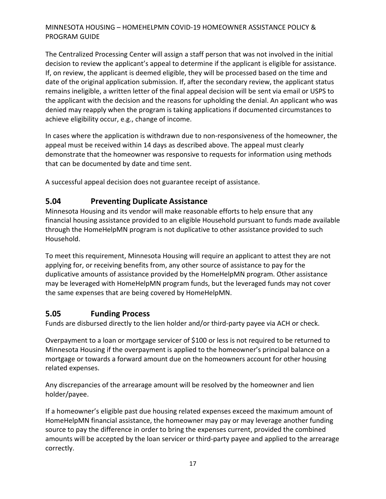The Centralized Processing Center will assign a staff person that was not involved in the initial decision to review the applicant's appeal to determine if the applicant is eligible for assistance. If, on review, the applicant is deemed eligible, they will be processed based on the time and date of the original application submission. If, after the secondary review, the applicant status remains ineligible, a written letter of the final appeal decision will be sent via email or USPS to the applicant with the decision and the reasons for upholding the denial. An applicant who was denied may reapply when the program is taking applications if documented circumstances to achieve eligibility occur, e.g., change of income.

In cases where the application is withdrawn due to non-responsiveness of the homeowner, the appeal must be received within 14 days as described above. The appeal must clearly demonstrate that the homeowner was responsive to requests for information using methods that can be documented by date and time sent.

A successful appeal decision does not guarantee receipt of assistance.

# <span id="page-20-0"></span>**5.04 Preventing Duplicate Assistance**

Minnesota Housing and its vendor will make reasonable efforts to help ensure that any financial housing assistance provided to an eligible Household pursuant to funds made available through the HomeHelpMN program is not duplicative to other assistance provided to such Household.

To meet this requirement, Minnesota Housing will require an applicant to attest they are not applying for, or receiving benefits from, any other source of assistance to pay for the duplicative amounts of assistance provided by the HomeHelpMN program. Other assistance may be leveraged with HomeHelpMN program funds, but the leveraged funds may not cover the same expenses that are being covered by HomeHelpMN.

## <span id="page-20-1"></span>**5.05 Funding Process**

Funds are disbursed directly to the lien holder and/or third-party payee via ACH or check.

Overpayment to a loan or mortgage servicer of \$100 or less is not required to be returned to Minnesota Housing if the overpayment is applied to the homeowner's principal balance on a mortgage or towards a forward amount due on the homeowners account for other housing related expenses.

Any discrepancies of the arrearage amount will be resolved by the homeowner and lien holder/payee.

If a homeowner's eligible past due housing related expenses exceed the maximum amount of HomeHelpMN financial assistance, the homeowner may pay or may leverage another funding source to pay the difference in order to bring the expenses current, provided the combined amounts will be accepted by the loan servicer or third-party payee and applied to the arrearage correctly.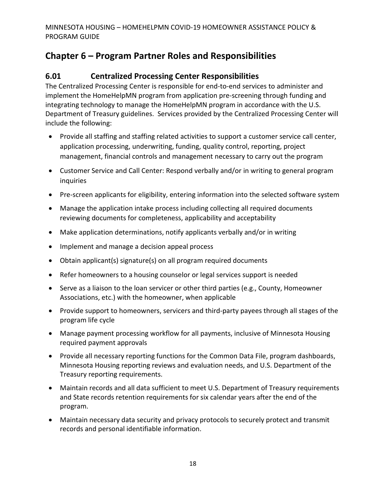# <span id="page-21-0"></span>**Chapter 6 – Program Partner Roles and Responsibilities**

## <span id="page-21-1"></span>**6.01 Centralized Processing Center Responsibilities**

The Centralized Processing Center is responsible for end-to-end services to administer and implement the HomeHelpMN program from application pre-screening through funding and integrating technology to manage the HomeHelpMN program in accordance with the U.S. Department of Treasury guidelines. Services provided by the Centralized Processing Center will include the following:

- Provide all staffing and staffing related activities to support a customer service call center, application processing, underwriting, funding, quality control, reporting, project management, financial controls and management necessary to carry out the program
- Customer Service and Call Center: Respond verbally and/or in writing to general program inquiries
- Pre-screen applicants for eligibility, entering information into the selected software system
- Manage the application intake process including collecting all required documents reviewing documents for completeness, applicability and acceptability
- Make application determinations, notify applicants verbally and/or in writing
- Implement and manage a decision appeal process
- Obtain applicant(s) signature(s) on all program required documents
- Refer homeowners to a housing counselor or legal services support is needed
- Serve as a liaison to the loan servicer or other third parties (e.g., County, Homeowner Associations, etc.) with the homeowner, when applicable
- Provide support to homeowners, servicers and third-party payees through all stages of the program life cycle
- Manage payment processing workflow for all payments, inclusive of Minnesota Housing required payment approvals
- Provide all necessary reporting functions for the Common Data File, program dashboards, Minnesota Housing reporting reviews and evaluation needs, and U.S. Department of the Treasury reporting requirements.
- Maintain records and all data sufficient to meet U.S. Department of Treasury requirements and State records retention requirements for six calendar years after the end of the program.
- Maintain necessary data security and privacy protocols to securely protect and transmit records and personal identifiable information.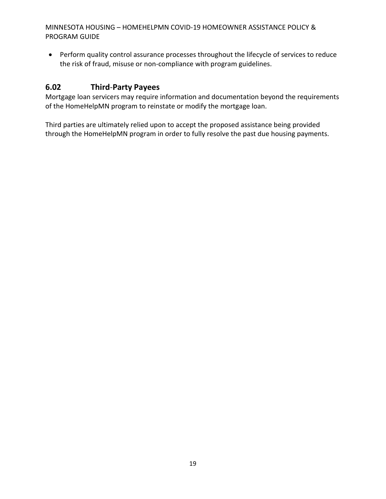• Perform quality control assurance processes throughout the lifecycle of services to reduce the risk of fraud, misuse or non-compliance with program guidelines.

# <span id="page-22-0"></span>**6.02 Third**-**Party Payees**

Mortgage loan servicers may require information and documentation beyond the requirements of the HomeHelpMN program to reinstate or modify the mortgage loan.

Third parties are ultimately relied upon to accept the proposed assistance being provided through the HomeHelpMN program in order to fully resolve the past due housing payments.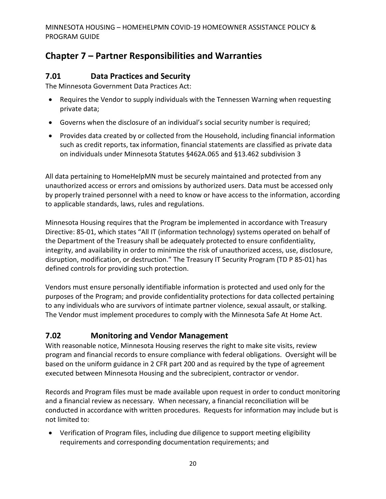# <span id="page-23-0"></span>**Chapter 7 – Partner Responsibilities and Warranties**

# <span id="page-23-1"></span>**7.01 Data Practices and Security**

The Minnesota Government Data Practices Act:

- Requires the Vendor to supply individuals with the Tennessen Warning when requesting private data;
- Governs when the disclosure of an individual's social security number is required;
- Provides data created by or collected from the Household, including financial information such as credit reports, tax information, financial statements are classified as private data on individuals under Minnesota Statutes §462A.065 and §13.462 subdivision 3

All data pertaining to HomeHelpMN must be securely maintained and protected from any unauthorized access or errors and omissions by authorized users. Data must be accessed only by properly trained personnel with a need to know or have access to the information, according to applicable standards, laws, rules and regulations.

Minnesota Housing requires that the Program be implemented in accordance with Treasury Directive: 85-01, which states "All IT (information technology) systems operated on behalf of the Department of the Treasury shall be adequately protected to ensure confidentiality, integrity, and availability in order to minimize the risk of unauthorized access, use, disclosure, disruption, modification, or destruction." The Treasury IT Security Program (TD P 85-01) has defined controls for providing such protection.

Vendors must ensure personally identifiable information is protected and used only for the purposes of the Program; and provide confidentiality protections for data collected pertaining to any individuals who are survivors of intimate partner violence, sexual assault, or stalking. The Vendor must implement procedures to comply with the Minnesota Safe At Home Act.

# <span id="page-23-2"></span>**7.02 Monitoring and Vendor Management**

With reasonable notice, Minnesota Housing reserves the right to make site visits, review program and financial records to ensure compliance with federal obligations. Oversight will be based on the uniform guidance in 2 CFR part 200 and as required by the type of agreement executed between Minnesota Housing and the subrecipient, contractor or vendor.

Records and Program files must be made available upon request in order to conduct monitoring and a financial review as necessary. When necessary, a financial reconciliation will be conducted in accordance with written procedures. Requests for information may include but is not limited to:

• Verification of Program files, including due diligence to support meeting eligibility requirements and corresponding documentation requirements; and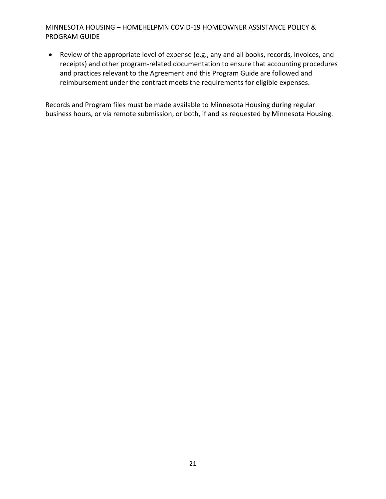• Review of the appropriate level of expense (e.g., any and all books, records, invoices, and receipts) and other program-related documentation to ensure that accounting procedures and practices relevant to the Agreement and this Program Guide are followed and reimbursement under the contract meets the requirements for eligible expenses.

Records and Program files must be made available to Minnesota Housing during regular business hours, or via remote submission, or both, if and as requested by Minnesota Housing.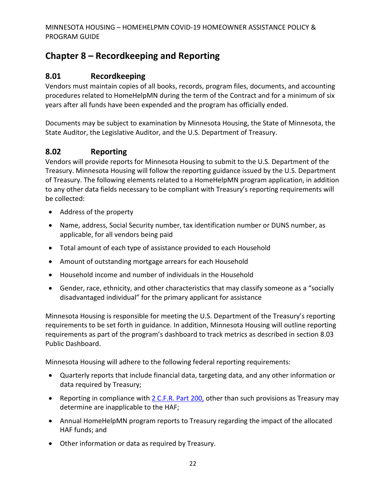# <span id="page-25-0"></span>**Chapter 8 – Recordkeeping and Reporting**

## <span id="page-25-1"></span>**8.01 Recordkeeping**

Vendors must maintain copies of all books, records, program files, documents, and accounting procedures related to HomeHelpMN during the term of the Contract and for a minimum of six years after all funds have been expended and the program has officially ended.

Documents may be subject to examination by Minnesota Housing, the State of Minnesota, the State Auditor, the Legislative Auditor, and the U.S. Department of Treasury.

# <span id="page-25-2"></span>**8.02 Reporting**

Vendors will provide reports for Minnesota Housing to submit to the U.S. Department of the Treasury. Minnesota Housing will follow the reporting guidance issued by the U.S. Department of Treasury. The following elements related to a HomeHelpMN program application, in addition to any other data fields necessary to be compliant with Treasury's reporting requirements will be collected:

- Address of the property
- Name, address, Social Security number, tax identification number or DUNS number, as applicable, for all vendors being paid
- Total amount of each type of assistance provided to each Household
- Amount of outstanding mortgage arrears for each Household
- Household income and number of individuals in the Household
- Gender, race, ethnicity, and other characteristics that may classify someone as a "socially disadvantaged individual" for the primary applicant for assistance

Minnesota Housing is responsible for meeting the U.S. Department of the Treasury's reporting requirements to be set forth in guidance. In addition, Minnesota Housing will outline reporting requirements as part of the program's dashboard to track metrics as described in section 8.03 Public Dashboard.

Minnesota Housing will adhere to the following federal reporting requirements:

- Quarterly reports that include financial data, targeting data, and any other information or data required by Treasury;
- Reporting in compliance with [2 C.F.R. Part 200,](https://www.ecfr.gov/current/title-2/subtitle-A/chapter-II/part-200) other than such provisions as Treasury may determine are inapplicable to the HAF;
- Annual HomeHelpMN program reports to Treasury regarding the impact of the allocated HAF funds; and
- Other information or data as required by Treasury.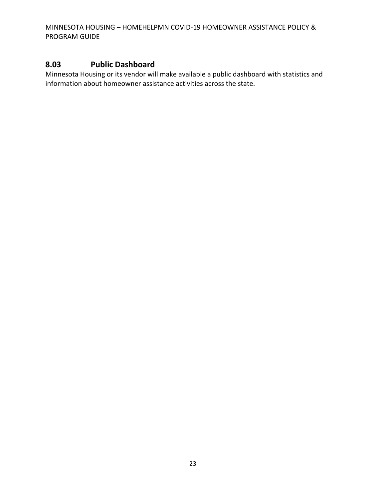#### <span id="page-26-0"></span>**8.03 Public Dashboard**

Minnesota Housing or its vendor will make available a public dashboard with statistics and information about homeowner assistance activities across the state.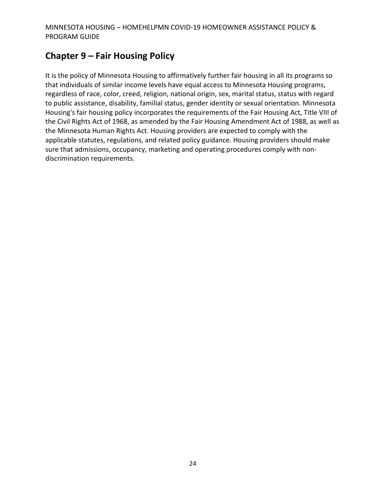# <span id="page-27-0"></span>**Chapter 9 – Fair Housing Policy**

It is the policy of Minnesota Housing to affirmatively further fair housing in all its programs so that individuals of similar income levels have equal access to Minnesota Housing programs, regardless of race, color, creed, religion, national origin, sex, marital status, status with regard to public assistance, disability, familial status, gender identity or sexual orientation. Minnesota Housing's fair housing policy incorporates the requirements of the Fair Housing Act, Title VIII of the Civil Rights Act of 1968, as amended by the Fair Housing Amendment Act of 1988, as well as the Minnesota Human Rights Act. Housing providers are expected to comply with the applicable statutes, regulations, and related policy guidance. Housing providers should make sure that admissions, occupancy, marketing and operating procedures comply with nondiscrimination requirements.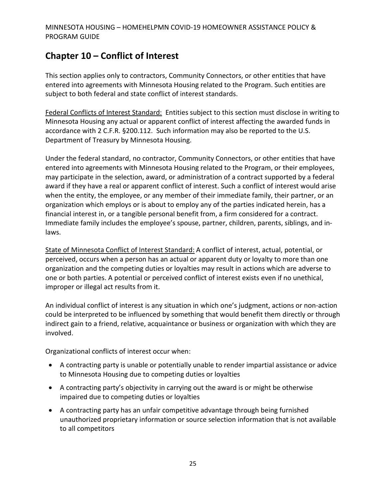# <span id="page-28-0"></span>**Chapter 10 – Conflict of Interest**

This section applies only to contractors, Community Connectors, or other entities that have entered into agreements with Minnesota Housing related to the Program. Such entities are subject to both federal and state conflict of interest standards.

Federal Conflicts of Interest Standard: Entities subject to this section must disclose in writing to Minnesota Housing any actual or apparent conflict of interest affecting the awarded funds in accordance with 2 C.F.R. §200.112. Such information may also be reported to the U.S. Department of Treasury by Minnesota Housing.

Under the federal standard, no contractor, Community Connectors, or other entities that have entered into agreements with Minnesota Housing related to the Program, or their employees, may participate in the selection, award, or administration of a contract supported by a federal award if they have a real or apparent conflict of interest. Such a conflict of interest would arise when the entity, the employee, or any member of their immediate family, their partner, or an organization which employs or is about to employ any of the parties indicated herein, has a financial interest in, or a tangible personal benefit from, a firm considered for a contract. Immediate family includes the employee's spouse, partner, children, parents, siblings, and inlaws.

State of Minnesota Conflict of Interest Standard: A conflict of interest, actual, potential, or perceived, occurs when a person has an actual or apparent duty or loyalty to more than one organization and the competing duties or loyalties may result in actions which are adverse to one or both parties. A potential or perceived conflict of interest exists even if no unethical, improper or illegal act results from it.

An individual conflict of interest is any situation in which one's judgment, actions or non-action could be interpreted to be influenced by something that would benefit them directly or through indirect gain to a friend, relative, acquaintance or business or organization with which they are involved.

Organizational conflicts of interest occur when:

- A contracting party is unable or potentially unable to render impartial assistance or advice to Minnesota Housing due to competing duties or loyalties
- A contracting party's objectivity in carrying out the award is or might be otherwise impaired due to competing duties or loyalties
- A contracting party has an unfair competitive advantage through being furnished unauthorized proprietary information or source selection information that is not available to all competitors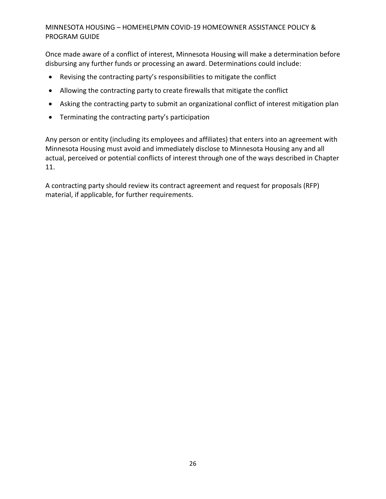Once made aware of a conflict of interest, Minnesota Housing will make a determination before disbursing any further funds or processing an award. Determinations could include:

- Revising the contracting party's responsibilities to mitigate the conflict
- Allowing the contracting party to create firewalls that mitigate the conflict
- Asking the contracting party to submit an organizational conflict of interest mitigation plan
- Terminating the contracting party's participation

Any person or entity (including its employees and affiliates) that enters into an agreement with Minnesota Housing must avoid and immediately disclose to Minnesota Housing any and all actual, perceived or potential conflicts of interest through one of the ways described in Chapter 11.

A contracting party should review its contract agreement and request for proposals (RFP) material, if applicable, for further requirements.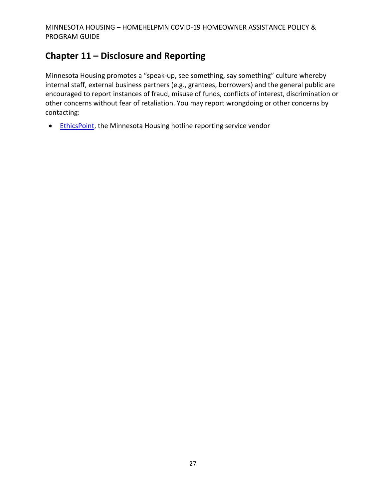# <span id="page-30-0"></span>**Chapter 11 – Disclosure and Reporting**

Minnesota Housing promotes a "speak-up, see something, say something" culture whereby internal staff, external business partners (e.g., grantees, borrowers) and the general public are encouraged to report instances of fraud, misuse of funds, conflicts of interest, discrimination or other concerns without fear of retaliation. You may report wrongdoing or other concerns by contacting:

• [EthicsPoint,](https://secure.ethicspoint.com/domain/media/en/gui/30639/index.html) the Minnesota Housing hotline reporting service vendor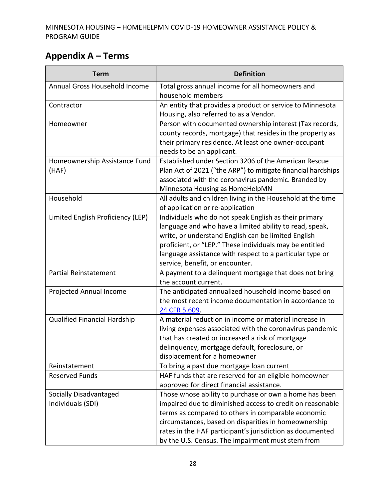# <span id="page-31-0"></span>**Appendix A – Terms**

| <b>Term</b>                                                                                                                                                                      | <b>Definition</b>                                                                                                                                                                                                                                                                                                                                                                                                                                                                                                                                                                                                                                                                                                                                                                                                                                                                                                                                                                      |
|----------------------------------------------------------------------------------------------------------------------------------------------------------------------------------|----------------------------------------------------------------------------------------------------------------------------------------------------------------------------------------------------------------------------------------------------------------------------------------------------------------------------------------------------------------------------------------------------------------------------------------------------------------------------------------------------------------------------------------------------------------------------------------------------------------------------------------------------------------------------------------------------------------------------------------------------------------------------------------------------------------------------------------------------------------------------------------------------------------------------------------------------------------------------------------|
| Annual Gross Household Income                                                                                                                                                    | Total gross annual income for all homeowners and                                                                                                                                                                                                                                                                                                                                                                                                                                                                                                                                                                                                                                                                                                                                                                                                                                                                                                                                       |
|                                                                                                                                                                                  | household members                                                                                                                                                                                                                                                                                                                                                                                                                                                                                                                                                                                                                                                                                                                                                                                                                                                                                                                                                                      |
| Contractor                                                                                                                                                                       | An entity that provides a product or service to Minnesota                                                                                                                                                                                                                                                                                                                                                                                                                                                                                                                                                                                                                                                                                                                                                                                                                                                                                                                              |
|                                                                                                                                                                                  | Housing, also referred to as a Vendor.                                                                                                                                                                                                                                                                                                                                                                                                                                                                                                                                                                                                                                                                                                                                                                                                                                                                                                                                                 |
| Homeowner                                                                                                                                                                        | Person with documented ownership interest (Tax records,                                                                                                                                                                                                                                                                                                                                                                                                                                                                                                                                                                                                                                                                                                                                                                                                                                                                                                                                |
|                                                                                                                                                                                  | county records, mortgage) that resides in the property as                                                                                                                                                                                                                                                                                                                                                                                                                                                                                                                                                                                                                                                                                                                                                                                                                                                                                                                              |
|                                                                                                                                                                                  | their primary residence. At least one owner-occupant                                                                                                                                                                                                                                                                                                                                                                                                                                                                                                                                                                                                                                                                                                                                                                                                                                                                                                                                   |
|                                                                                                                                                                                  | needs to be an applicant.                                                                                                                                                                                                                                                                                                                                                                                                                                                                                                                                                                                                                                                                                                                                                                                                                                                                                                                                                              |
| Homeownership Assistance Fund                                                                                                                                                    | Established under Section 3206 of the American Rescue                                                                                                                                                                                                                                                                                                                                                                                                                                                                                                                                                                                                                                                                                                                                                                                                                                                                                                                                  |
| (HAF)                                                                                                                                                                            | Plan Act of 2021 ("the ARP") to mitigate financial hardships                                                                                                                                                                                                                                                                                                                                                                                                                                                                                                                                                                                                                                                                                                                                                                                                                                                                                                                           |
|                                                                                                                                                                                  | associated with the coronavirus pandemic. Branded by                                                                                                                                                                                                                                                                                                                                                                                                                                                                                                                                                                                                                                                                                                                                                                                                                                                                                                                                   |
|                                                                                                                                                                                  | Minnesota Housing as HomeHelpMN                                                                                                                                                                                                                                                                                                                                                                                                                                                                                                                                                                                                                                                                                                                                                                                                                                                                                                                                                        |
| Household                                                                                                                                                                        | All adults and children living in the Household at the time                                                                                                                                                                                                                                                                                                                                                                                                                                                                                                                                                                                                                                                                                                                                                                                                                                                                                                                            |
|                                                                                                                                                                                  | of application or re-application                                                                                                                                                                                                                                                                                                                                                                                                                                                                                                                                                                                                                                                                                                                                                                                                                                                                                                                                                       |
| Limited English Proficiency (LEP)                                                                                                                                                | Individuals who do not speak English as their primary                                                                                                                                                                                                                                                                                                                                                                                                                                                                                                                                                                                                                                                                                                                                                                                                                                                                                                                                  |
|                                                                                                                                                                                  | language and who have a limited ability to read, speak,                                                                                                                                                                                                                                                                                                                                                                                                                                                                                                                                                                                                                                                                                                                                                                                                                                                                                                                                |
|                                                                                                                                                                                  | write, or understand English can be limited English                                                                                                                                                                                                                                                                                                                                                                                                                                                                                                                                                                                                                                                                                                                                                                                                                                                                                                                                    |
|                                                                                                                                                                                  | proficient, or "LEP." These individuals may be entitled                                                                                                                                                                                                                                                                                                                                                                                                                                                                                                                                                                                                                                                                                                                                                                                                                                                                                                                                |
|                                                                                                                                                                                  | language assistance with respect to a particular type or                                                                                                                                                                                                                                                                                                                                                                                                                                                                                                                                                                                                                                                                                                                                                                                                                                                                                                                               |
|                                                                                                                                                                                  | service, benefit, or encounter.                                                                                                                                                                                                                                                                                                                                                                                                                                                                                                                                                                                                                                                                                                                                                                                                                                                                                                                                                        |
|                                                                                                                                                                                  |                                                                                                                                                                                                                                                                                                                                                                                                                                                                                                                                                                                                                                                                                                                                                                                                                                                                                                                                                                                        |
|                                                                                                                                                                                  |                                                                                                                                                                                                                                                                                                                                                                                                                                                                                                                                                                                                                                                                                                                                                                                                                                                                                                                                                                                        |
|                                                                                                                                                                                  |                                                                                                                                                                                                                                                                                                                                                                                                                                                                                                                                                                                                                                                                                                                                                                                                                                                                                                                                                                                        |
|                                                                                                                                                                                  |                                                                                                                                                                                                                                                                                                                                                                                                                                                                                                                                                                                                                                                                                                                                                                                                                                                                                                                                                                                        |
|                                                                                                                                                                                  |                                                                                                                                                                                                                                                                                                                                                                                                                                                                                                                                                                                                                                                                                                                                                                                                                                                                                                                                                                                        |
|                                                                                                                                                                                  |                                                                                                                                                                                                                                                                                                                                                                                                                                                                                                                                                                                                                                                                                                                                                                                                                                                                                                                                                                                        |
|                                                                                                                                                                                  |                                                                                                                                                                                                                                                                                                                                                                                                                                                                                                                                                                                                                                                                                                                                                                                                                                                                                                                                                                                        |
|                                                                                                                                                                                  |                                                                                                                                                                                                                                                                                                                                                                                                                                                                                                                                                                                                                                                                                                                                                                                                                                                                                                                                                                                        |
|                                                                                                                                                                                  |                                                                                                                                                                                                                                                                                                                                                                                                                                                                                                                                                                                                                                                                                                                                                                                                                                                                                                                                                                                        |
|                                                                                                                                                                                  |                                                                                                                                                                                                                                                                                                                                                                                                                                                                                                                                                                                                                                                                                                                                                                                                                                                                                                                                                                                        |
|                                                                                                                                                                                  |                                                                                                                                                                                                                                                                                                                                                                                                                                                                                                                                                                                                                                                                                                                                                                                                                                                                                                                                                                                        |
|                                                                                                                                                                                  |                                                                                                                                                                                                                                                                                                                                                                                                                                                                                                                                                                                                                                                                                                                                                                                                                                                                                                                                                                                        |
|                                                                                                                                                                                  |                                                                                                                                                                                                                                                                                                                                                                                                                                                                                                                                                                                                                                                                                                                                                                                                                                                                                                                                                                                        |
|                                                                                                                                                                                  |                                                                                                                                                                                                                                                                                                                                                                                                                                                                                                                                                                                                                                                                                                                                                                                                                                                                                                                                                                                        |
|                                                                                                                                                                                  |                                                                                                                                                                                                                                                                                                                                                                                                                                                                                                                                                                                                                                                                                                                                                                                                                                                                                                                                                                                        |
|                                                                                                                                                                                  |                                                                                                                                                                                                                                                                                                                                                                                                                                                                                                                                                                                                                                                                                                                                                                                                                                                                                                                                                                                        |
|                                                                                                                                                                                  |                                                                                                                                                                                                                                                                                                                                                                                                                                                                                                                                                                                                                                                                                                                                                                                                                                                                                                                                                                                        |
|                                                                                                                                                                                  |                                                                                                                                                                                                                                                                                                                                                                                                                                                                                                                                                                                                                                                                                                                                                                                                                                                                                                                                                                                        |
| <b>Partial Reinstatement</b><br>Projected Annual Income<br>Qualified Financial Hardship<br>Reinstatement<br><b>Reserved Funds</b><br>Socially Disadvantaged<br>Individuals (SDI) | A payment to a delinquent mortgage that does not bring<br>the account current.<br>The anticipated annualized household income based on<br>the most recent income documentation in accordance to<br>24 CFR 5.609.<br>A material reduction in income or material increase in<br>living expenses associated with the coronavirus pandemic<br>that has created or increased a risk of mortgage<br>delinquency, mortgage default, foreclosure, or<br>displacement for a homeowner<br>To bring a past due mortgage loan current<br>HAF funds that are reserved for an eligible homeowner<br>approved for direct financial assistance.<br>Those whose ability to purchase or own a home has been<br>impaired due to diminished access to credit on reasonable<br>terms as compared to others in comparable economic<br>circumstances, based on disparities in homeownership<br>rates in the HAF participant's jurisdiction as documented<br>by the U.S. Census. The impairment must stem from |